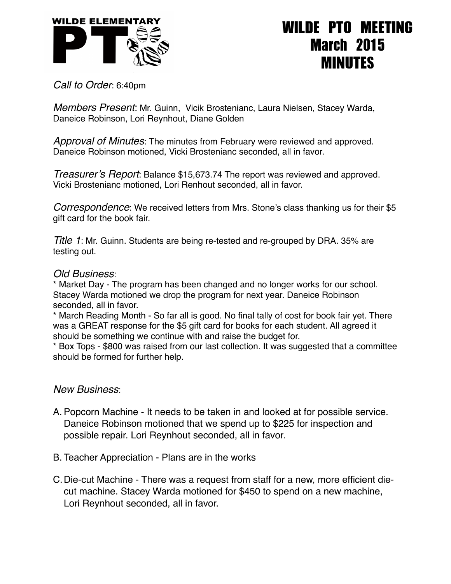

## WILDE PTO MEETING March 2015 MINUTES

*Call to Order*: 6:40pm

*Members Present*: Mr. Guinn, Vicik Brostenianc, Laura Nielsen, Stacey Warda, Daneice Robinson, Lori Reynhout, Diane Golden

*Approval of Minutes*: The minutes from February were reviewed and approved. Daneice Robinson motioned, Vicki Brostenianc seconded, all in favor.

*Treasurer's Report*: Balance \$15,673.74 The report was reviewed and approved. Vicki Brostenianc motioned, Lori Renhout seconded, all in favor.

*Correspondence*: We received letters from Mrs. Stone's class thanking us for their \$5 gift card for the book fair.

*Title 1*: Mr. Guinn. Students are being re-tested and re-grouped by DRA. 35% are testing out.

## *Old Business*:

\* Market Day - The program has been changed and no longer works for our school. Stacey Warda motioned we drop the program for next year. Daneice Robinson seconded, all in favor.

\* March Reading Month - So far all is good. No final tally of cost for book fair yet. There was a GREAT response for the \$5 gift card for books for each student. All agreed it should be something we continue with and raise the budget for.

\* Box Tops - \$800 was raised from our last collection. It was suggested that a committee should be formed for further help.

## *New Business*:

- A. Popcorn Machine It needs to be taken in and looked at for possible service. Daneice Robinson motioned that we spend up to \$225 for inspection and possible repair. Lori Reynhout seconded, all in favor.
- B. Teacher Appreciation Plans are in the works
- C.Die-cut Machine There was a request from staff for a new, more efficient diecut machine. Stacey Warda motioned for \$450 to spend on a new machine, Lori Reynhout seconded, all in favor.